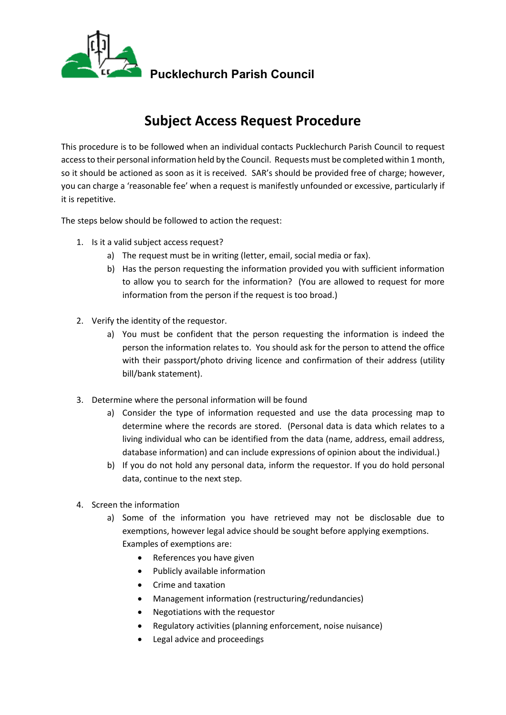

# **Subject Access Request Procedure**

This procedure is to be followed when an individual contacts Pucklechurch Parish Council to request access to their personal information held by the Council. Requests must be completed within 1 month, so it should be actioned as soon as it is received. SAR's should be provided free of charge; however, you can charge a 'reasonable fee' when a request is manifestly unfounded or excessive, particularly if it is repetitive.

The steps below should be followed to action the request:

- 1. Is it a valid subject access request?
	- a) The request must be in writing (letter, email, social media or fax).
	- b) Has the person requesting the information provided you with sufficient information to allow you to search for the information? (You are allowed to request for more information from the person if the request is too broad.)
- 2. Verify the identity of the requestor.
	- a) You must be confident that the person requesting the information is indeed the person the information relates to. You should ask for the person to attend the office with their passport/photo driving licence and confirmation of their address (utility bill/bank statement).
- 3. Determine where the personal information will be found
	- a) Consider the type of information requested and use the data processing map to determine where the records are stored. (Personal data is data which relates to a living individual who can be identified from the data (name, address, email address, database information) and can include expressions of opinion about the individual.)
	- b) If you do not hold any personal data, inform the requestor. If you do hold personal data, continue to the next step.
- 4. Screen the information
	- a) Some of the information you have retrieved may not be disclosable due to exemptions, however legal advice should be sought before applying exemptions. Examples of exemptions are:
		- References you have given
		- Publicly available information
		- Crime and taxation
		- Management information (restructuring/redundancies)
		- Negotiations with the requestor
		- Regulatory activities (planning enforcement, noise nuisance)
		- Legal advice and proceedings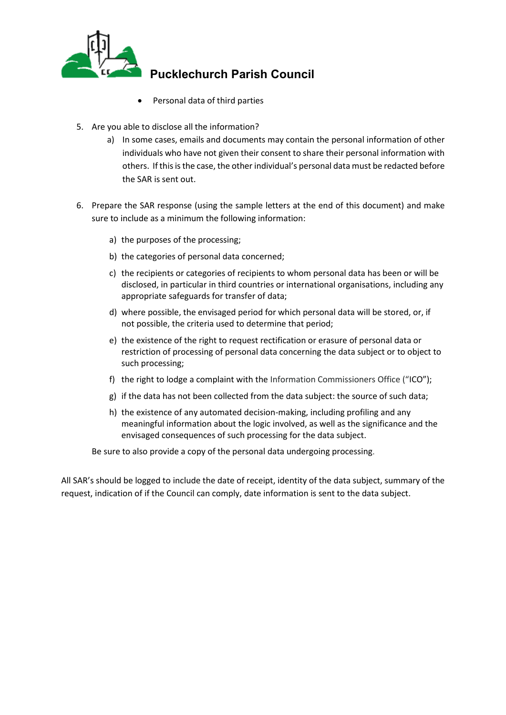

- Personal data of third parties
- 5. Are you able to disclose all the information?
	- a) In some cases, emails and documents may contain the personal information of other individuals who have not given their consent to share their personal information with others. If this is the case, the other individual's personal data must be redacted before the SAR is sent out.
- 6. Prepare the SAR response (using the sample letters at the end of this document) and make sure to include as a minimum the following information:
	- a) the purposes of the processing;
	- b) the categories of personal data concerned;
	- c) the recipients or categories of recipients to whom personal data has been or will be disclosed, in particular in third countries or international organisations, including any appropriate safeguards for transfer of data;
	- d) where possible, the envisaged period for which personal data will be stored, or, if not possible, the criteria used to determine that period;
	- e) the existence of the right to request rectification or erasure of personal data or restriction of processing of personal data concerning the data subject or to object to such processing;
	- f) the right to lodge a complaint with the Information Commissioners Office ("ICO");
	- g) if the data has not been collected from the data subject: the source of such data;
	- h) the existence of any automated decision-making, including profiling and any meaningful information about the logic involved, as well as the significance and the envisaged consequences of such processing for the data subject.

Be sure to also provide a copy of the personal data undergoing processing.

All SAR's should be logged to include the date of receipt, identity of the data subject, summary of the request, indication of if the Council can comply, date information is sent to the data subject.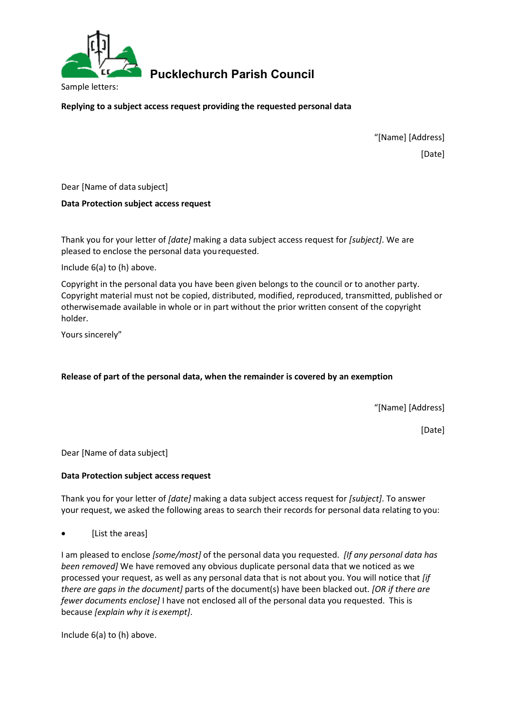

**Replying to a subject access request providing the requested personal data**

"[Name] [Address] [Date]

Dear [Name of data subject]

#### **Data Protection subject accessrequest**

Thank you for your letter of *[date]* making a data subject access request for *[subject]*. We are pleased to enclose the personal data yourequested.

Include 6(a) to (h) above.

Copyright in the personal data you have been given belongs to the council or to another party. Copyright material must not be copied, distributed, modified, reproduced, transmitted, published or otherwisemade available in whole or in part without the prior written consent of the copyright holder.

Yours sincerely"

#### **Release of part of the personal data, when the remainder is covered by an exemption**

"[Name] [Address]

[Date]

Dear [Name of data subject]

#### **Data Protection subject accessrequest**

Thank you for your letter of *[date]* making a data subject access request for *[subject]*. To answer your request, we asked the following areas to search their records for personal data relating to you:

[List the areas]

I am pleased to enclose *[some/most]* of the personal data you requested. *[If any personal data has been removed]* We have removed any obvious duplicate personal data that we noticed as we processed your request, as well as any personal data that is not about you. You will notice that *[if there are gaps in the document]* parts of the document(s) have been blacked out. *[OR if there are fewer documents enclose]* I have not enclosed all of the personal data you requested. This is because *[explain why it is exempt]*.

Include 6(a) to (h) above.